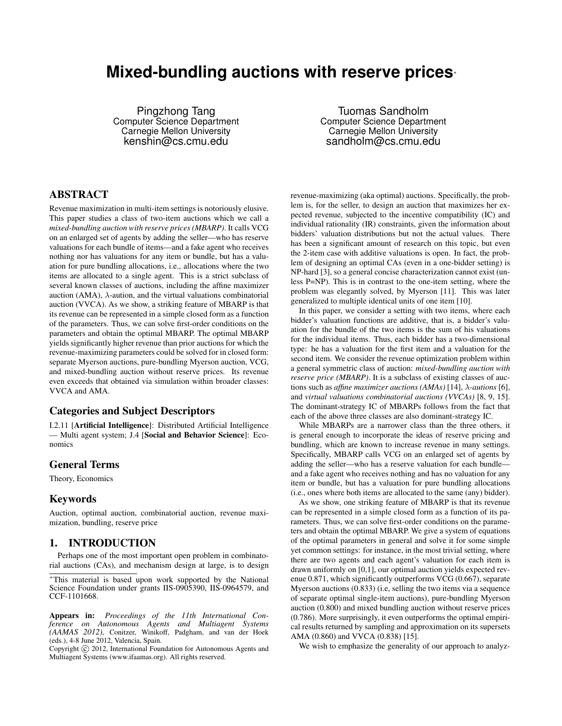# **Mixed-bundling auctions with reserve prices**<sup>∗</sup>

Pingzhong Tang Computer Science Department Carnegie Mellon University kenshin@cs.cmu.edu

Tuomas Sandholm Computer Science Department Carnegie Mellon University sandholm@cs.cmu.edu

# ABSTRACT

Revenue maximization in multi-item settings is notoriously elusive. This paper studies a class of two-item auctions which we call a *mixed-bundling auction with reserve prices (MBARP)*. It calls VCG on an enlarged set of agents by adding the seller—who has reserve valuations for each bundle of items—and a fake agent who receives nothing nor has valuations for any item or bundle, but has a valuation for pure bundling allocations, i.e., allocations where the two items are allocated to a single agent. This is a strict subclass of several known classes of auctions, including the affine maximizer auction (AMA),  $\lambda$ -aution, and the virtual valuations combinatorial auction (VVCA). As we show, a striking feature of MBARP is that its revenue can be represented in a simple closed form as a function of the parameters. Thus, we can solve first-order conditions on the parameters and obtain the optimal MBARP. The optimal MBARP yields significantly higher revenue than prior auctions for which the revenue-maximizing parameters could be solved for in closed form: separate Myerson auctions, pure-bundling Myerson auction, VCG, and mixed-bundling auction without reserve prices. Its revenue even exceeds that obtained via simulation within broader classes: VVCA and AMA.

## Categories and Subject Descriptors

I.2.11 [Artificial Intelligence]: Distributed Artificial Intelligence — Multi agent system; J.4 [Social and Behavior Science]: Economics

### General Terms

Theory, Economics

# Keywords

Auction, optimal auction, combinatorial auction, revenue maximization, bundling, reserve price

## 1. INTRODUCTION

Perhaps one of the most important open problem in combinatorial auctions (CAs), and mechanism design at large, is to design

<sup>∗</sup>This material is based upon work supported by the National Science Foundation under grants IIS-0905390, IIS-0964579, and CCF-1101668.

Appears in: *Proceedings of the 11th International Conference on Autonomous Agents and Multiagent Systems (AAMAS 2012)*, Conitzer, Winikoff, Padgham, and van der Hoek (eds.), 4-8 June 2012, Valencia, Spain.

Copyright (C) 2012, International Foundation for Autonomous Agents and Multiagent Systems (www.ifaamas.org). All rights reserved.

revenue-maximizing (aka optimal) auctions. Specifically, the problem is, for the seller, to design an auction that maximizes her expected revenue, subjected to the incentive compatibility (IC) and individual rationality (IR) constraints, given the information about bidders' valuation distributions but not the actual values. There has been a significant amount of research on this topic, but even the 2-item case with additive valuations is open. In fact, the problem of designing an optimal CAs (even in a one-bidder setting) is NP-hard [3], so a general concise characterization cannot exist (unless P=NP). This is in contrast to the one-item setting, where the problem was elegantly solved, by Myerson [11]. This was later generalized to multiple identical units of one item [10].

In this paper, we consider a setting with two items, where each bidder's valuation functions are additive, that is, a bidder's valuation for the bundle of the two items is the sum of his valuations for the individual items. Thus, each bidder has a two-dimensional type: he has a valuation for the first item and a valuation for the second item. We consider the revenue optimization problem within a general symmetric class of auction: *mixed-bundling auction with reserve price (MBARP)*. It is a subclass of existing classes of auctions such as *affine maximizer auctions (AMAs)* [14], λ*-autions* [6], and *virtual valuations combinatorial auctions (VVCAs)* [8, 9, 15]. The dominant-strategy IC of MBARPs follows from the fact that each of the above three classes are also dominant-strategy IC.

While MBARPs are a narrower class than the three others, it is general enough to incorporate the ideas of reserve pricing and bundling, which are known to increase revenue in many settings. Specifically, MBARP calls VCG on an enlarged set of agents by adding the seller—who has a reserve valuation for each bundle and a fake agent who receives nothing and has no valuation for any item or bundle, but has a valuation for pure bundling allocations (i.e., ones where both items are allocated to the same (any) bidder).

As we show, one striking feature of MBARP is that its revenue can be represented in a simple closed form as a function of its parameters. Thus, we can solve first-order conditions on the parameters and obtain the optimal MBARP. We give a system of equations of the optimal parameters in general and solve it for some simple yet common settings: for instance, in the most trivial setting, where there are two agents and each agent's valuation for each item is drawn uniformly on [0,1], our optimal auction yields expected revenue 0.871, which significantly outperforms VCG (0.667), separate Myerson auctions (0.833) (i.e, selling the two items via a sequence of separate optimal single-item auctions), pure-bundling Myerson auction (0.800) and mixed bundling auction without reserve prices (0.786). More surprisingly, it even outperforms the optimal empirical results returned by sampling and approximation on its supersets AMA (0.860) and VVCA (0.838) [15].

We wish to emphasize the generality of our approach to analyz-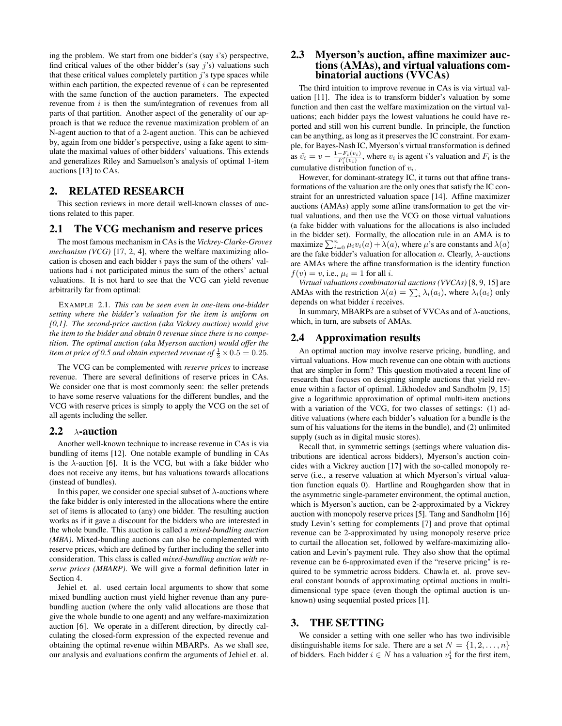ing the problem. We start from one bidder's (say i's) perspective, find critical values of the other bidder's (say  $j$ 's) valuations such that these critical values completely partition  $\hat{j}$ 's type spaces while within each partition, the expected revenue of  $i$  can be represented with the same function of the auction parameters. The expected revenue from  $i$  is then the sum/integration of revenues from all parts of that partition. Another aspect of the generality of our approach is that we reduce the revenue maximization problem of an N-agent auction to that of a 2-agent auction. This can be achieved by, again from one bidder's perspective, using a fake agent to simulate the maximal values of other bidders' valuations. This extends and generalizes Riley and Samuelson's analysis of optimal 1-item auctions [13] to CAs.

# 2. RELATED RESEARCH

This section reviews in more detail well-known classes of auctions related to this paper.

#### 2.1 The VCG mechanism and reserve prices

The most famous mechanism in CAs is the *Vickrey-Clarke-Groves mechanism (VCG)* [17, 2, 4], where the welfare maximizing allocation is chosen and each bidder  $i$  pays the sum of the others' valuations had  $i$  not participated minus the sum of the others' actual valuations. It is not hard to see that the VCG can yield revenue arbitrarily far from optimal:

EXAMPLE 2.1. *This can be seen even in one-item one-bidder setting where the bidder's valuation for the item is uniform on [0,1]. The second-price auction (aka Vickrey auction) would give the item to the bidder and obtain 0 revenue since there is no competition. The optimal auction (aka Myerson auction) would offer the item at price of 0.5 and obtain expected revenue of*  $\frac{1}{2} \times 0.5 = 0.25$ .

The VCG can be complemented with *reserve prices* to increase revenue. There are several definitions of reserve prices in CAs. We consider one that is most commonly seen: the seller pretends to have some reserve valuations for the different bundles, and the VCG with reserve prices is simply to apply the VCG on the set of all agents including the seller.

### 2.2  $\lambda$ -auction

Another well-known technique to increase revenue in CAs is via bundling of items [12]. One notable example of bundling in CAs is the  $\lambda$ -auction [6]. It is the VCG, but with a fake bidder who does not receive any items, but has valuations towards allocations (instead of bundles).

In this paper, we consider one special subset of  $\lambda$ -auctions where the fake bidder is only interested in the allocations where the entire set of items is allocated to (any) one bidder. The resulting auction works as if it gave a discount for the bidders who are interested in the whole bundle. This auction is called a *mixed-bundling auction (MBA)*. Mixed-bundling auctions can also be complemented with reserve prices, which are defined by further including the seller into consideration. This class is called *mixed-bundling auction with reserve prices (MBARP)*. We will give a formal definition later in Section 4.

Jehiel et. al. used certain local arguments to show that some mixed bundling auction must yield higher revenue than any purebundling auction (where the only valid allocations are those that give the whole bundle to one agent) and any welfare-maximization auction [6]. We operate in a different direction, by directly calculating the closed-form expression of the expected revenue and obtaining the optimal revenue within MBARPs. As we shall see, our analysis and evaluations confirm the arguments of Jehiel et. al.

## 2.3 Myerson's auction, affine maximizer auctions (AMAs), and virtual valuations combinatorial auctions (VVCAs)

The third intuition to improve revenue in CAs is via virtual valuation [11]. The idea is to transform bidder's valuation by some function and then cast the welfare maximization on the virtual valuations; each bidder pays the lowest valuations he could have reported and still won his current bundle. In principle, the function can be anything, as long as it preserves the IC constraint. For example, for Bayes-Nash IC, Myerson's virtual transformation is defined as  $\tilde{v}_i = v - \frac{1 - F_i(v_i)}{F_i'(v_i)}$ , where  $v_i$  is agent *i*'s valuation and  $F_i$  is the cumulative distribution function of  $v_i$ .

However, for dominant-strategy IC, it turns out that affine transformations of the valuation are the only ones that satisfy the IC constraint for an unrestricted valuation space [14]. Affine maximizer auctions (AMAs) apply some affine transformation to get the virtual valuations, and then use the VCG on those virtual valuations (a fake bidder with valuations for the allocations is also included in the bidder set). Formally, the allocation rule in an AMA is to maximize  $\sum_{i=0}^{n} \mu_i v_i(a) + \lambda(a)$ , where  $\mu$ 's are constants and  $\lambda(a)$ are the fake bidder's valuation for allocation a. Clearly,  $\lambda$ -auctions are AMAs where the affine transformation is the identity function  $f(v) = v$ , i.e.,  $\mu_i = 1$  for all i.

*Virtual valuations combinatorial auctions (VVCAs)* [8, 9, 15] are AMAs with the restriction  $\lambda(a) = \sum_i \lambda_i(a_i)$ , where  $\lambda_i(a_i)$  only depends on what bidder *i* receives.

In summary, MBARPs are a subset of VVCAs and of  $\lambda$ -auctions, which, in turn, are subsets of AMAs.

## 2.4 Approximation results

An optimal auction may involve reserve pricing, bundling, and virtual valuations. How much revenue can one obtain with auctions that are simpler in form? This question motivated a recent line of research that focuses on designing simple auctions that yield revenue within a factor of optimal. Likhodedov and Sandholm [9, 15] give a logarithmic approximation of optimal multi-item auctions with a variation of the VCG, for two classes of settings: (1) additive valuations (where each bidder's valuation for a bundle is the sum of his valuations for the items in the bundle), and (2) unlimited supply (such as in digital music stores).

Recall that, in symmetric settings (settings where valuation distributions are identical across bidders), Myerson's auction coincides with a Vickrey auction [17] with the so-called monopoly reserve (i.e., a reserve valuation at which Myerson's virtual valuation function equals 0). Hartline and Roughgarden show that in the asymmetric single-parameter environment, the optimal auction, which is Myerson's auction, can be 2-approximated by a Vickrey auction with monopoly reserve prices [5]. Tang and Sandholm [16] study Levin's setting for complements [7] and prove that optimal revenue can be 2-approximated by using monopoly reserve price to curtail the allocation set, followed by welfare-maximizing allocation and Levin's payment rule. They also show that the optimal revenue can be 6-approximated even if the "reserve pricing" is required to be symmetric across bidders. Chawla et. al. prove several constant bounds of approximating optimal auctions in multidimensional type space (even though the optimal auction is unknown) using sequential posted prices [1].

#### 3. THE SETTING

We consider a setting with one seller who has two indivisible distinguishable items for sale. There are a set  $N = \{1, 2, \ldots, n\}$ of bidders. Each bidder  $i \in N$  has a valuation  $v_1^i$  for the first item,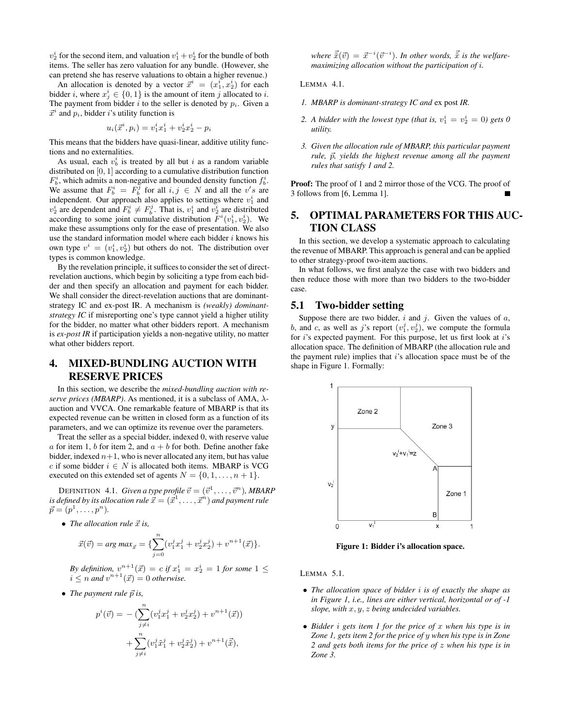$v_2^i$  for the second item, and valuation  $v_1^i + v_2^i$  for the bundle of both items. The seller has zero valuation for any bundle. (However, she can pretend she has reserve valuations to obtain a higher revenue.)

An allocation is denoted by a vector  $\vec{x}^i = (x_1^i, x_2^i)$  for each bidder *i*, where  $x_j^i \in \{0, 1\}$  is the amount of item *j* allocated to *i*. The payment from bidder i to the seller is denoted by  $p_i$ . Given a  $\vec{x}^i$  and  $p_i$ , bidder i's utility function is

$$
u_i(\vec{x}^i, p_i) = v_1^i x_1^i + v_2^i x_2^i - p_i
$$

This means that the bidders have quasi-linear, additive utility functions and no externalities.

As usual, each  $v_b^i$  is treated by all but i as a random variable distributed on [0, 1] according to a cumulative distribution function  $F_b^i$ , which admits a non-negative and bounded density function  $f_b^i$ . We assume that  $F_b^i = F_b^{\bar{j}}$  for all  $i, j \in N$  and all the v's are independent. Our approach also applies to settings where  $v_1^i$  and  $v_2^i$  are dependent and  $F_b^i \neq F_b^j$ . That is,  $v_1^i$  and  $v_2^i$  are distributed according to some joint cumulative distribution  $F^i(v_1^i, v_2^i)$ . We make these assumptions only for the ease of presentation. We also use the standard information model where each bidder  $i$  knows his own type  $v^i = (v_1^i, v_2^i)$  but others do not. The distribution over types is common knowledge.

By the revelation principle, it suffices to consider the set of directrevelation auctions, which begin by soliciting a type from each bidder and then specify an allocation and payment for each bidder. We shall consider the direct-revelation auctions that are dominantstrategy IC and ex-post IR. A mechanism is *(weakly) dominantstrategy IC* if misreporting one's type cannot yield a higher utility for the bidder, no matter what other bidders report. A mechanism is *ex-post IR* if participation yields a non-negative utility, no matter what other bidders report.

# 4. MIXED-BUNDLING AUCTION WITH RESERVE PRICES

In this section, we describe the *mixed-bundling auction with reserve prices (MBARP)*. As mentioned, it is a subclass of AMA,  $\lambda$ auction and VVCA. One remarkable feature of MBARP is that its expected revenue can be written in closed form as a function of its parameters, and we can optimize its revenue over the parameters.

Treat the seller as a special bidder, indexed 0, with reserve value a for item 1, b for item 2, and  $a + b$  for both. Define another fake bidder, indexed  $n+1$ , who is never allocated any item, but has value c if some bidder  $i \in N$  is allocated both items. MBARP is VCG executed on this extended set of agents  $N = \{0, 1, \ldots, n + 1\}.$ 

DEFINITION 4.1. *Given a type profile*  $\vec{v} = (\vec{v}^1, \dots, \vec{v}^n)$ *, MBARP* is defined by its allocation rule  $\vec{x} = (\vec{x}^1, \dots, \vec{x}^n)$  and payment rule  $\vec{p} = (p^1, \ldots, p^n).$ 

• *The allocation rule*  $\vec{x}$  *is,* 

$$
\vec{x}(\vec{v}) = arg \, max_{\vec{x}} = \{ \sum_{j=0}^{n} (v_1^j x_1^j + v_2^j x_2^j) + v^{n+1}(\vec{x}) \}.
$$

By definition,  $v^{n+1}(\vec{x}) = c$  if  $x_1^i = x_2^i = 1$  for some  $1 \leq$  $i \leq n$  and  $v^{n+1}(\vec{x}) = 0$  *otherwise.* 

• *The payment rule*  $\vec{p}$  *is,* 

$$
p^{i}(\vec{v}) = -\left(\sum_{j\neq i}^{n} (v_1^j x_1^j + v_2^j x_2^j) + v^{n+1}(\vec{x})\right) + \sum_{j\neq i}^{n} (v_1^j \tilde{x}_1^j + v_2^j \tilde{x}_2^j) + v^{n+1}(\vec{\tilde{x}}),
$$

 $where \space \vec{\tilde{x}}(\vec{v}) = \vec{x}^{-i}(\vec{v}^{-i}).$  *In other words,*  $\vec{\tilde{x}}$  *is the welfaremaximizing allocation without the participation of* i*.*

LEMMA 4.1.

- *1. MBARP is dominant-strategy IC and* ex post *IR.*
- 2. A bidder with the lowest type (that is,  $v_1^i = v_2^i = 0$ ) gets 0 *utility.*
- *3. Given the allocation rule of MBARP, this particular payment*  $rule,  $\vec{p}$ , yields the highest revenue among all the payment$ *rules that satisfy 1 and 2.*

Proof: The proof of 1 and 2 mirror those of the VCG. The proof of 3 follows from [6, Lemma 1].

# 5. OPTIMAL PARAMETERS FOR THIS AUC-TION CLASS

In this section, we develop a systematic approach to calculating the revenue of MBARP. This approach is general and can be applied to other strategy-proof two-item auctions.

In what follows, we first analyze the case with two bidders and then reduce those with more than two bidders to the two-bidder case.

## 5.1 Two-bidder setting

Suppose there are two bidder,  $i$  and  $j$ . Given the values of  $a$ , b, and c, as well as j's report  $(v_1^j, v_2^j)$ , we compute the formula for  $i$ 's expected payment. For this purpose, let us first look at  $i$ 's allocation space. The definition of MBARP (the allocation rule and the payment rule) implies that  $i$ 's allocation space must be of the shape in Figure 1. Formally:



Figure 1: Bidder i's allocation space.

LEMMA 5.1.

- *The allocation space of bidder* i *is of exactly the shape as in Figure 1, i.e., lines are either vertical, horizontal or of -1 slope, with* x, y, z *being undecided variables.*
- *Bidder* i *gets item 1 for the price of* x *when his type is in Zone 1, gets item 2 for the price of* y *when his type is in Zone 2 and gets both items for the price of* z *when his type is in Zone 3.*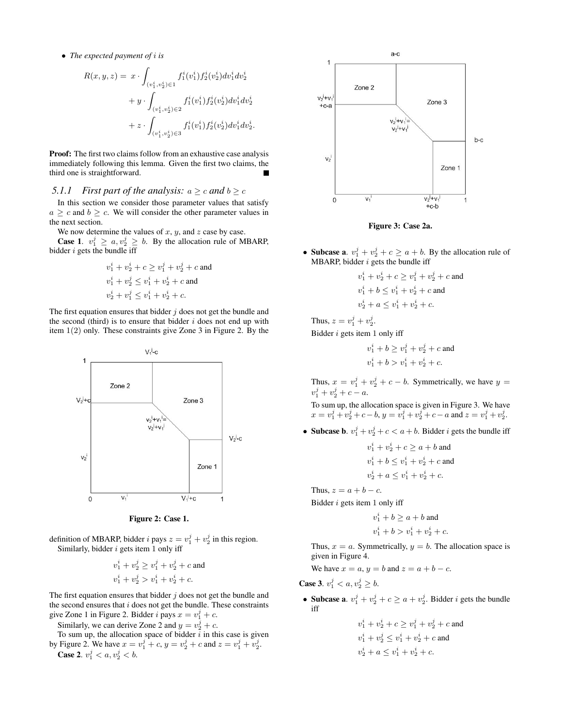• *The expected payment of* i *is*

$$
R(x, y, z) = x \cdot \int_{(v_1^i, v_2^i) \in I} f_1^i(v_1^i) f_2^i(v_2^i) dv_1^i dv_2^i
$$
  
+ 
$$
y \cdot \int_{(v_1^i, v_2^i) \in I} f_1^i(v_1^i) f_2^i(v_2^i) dv_1^i dv_2^i
$$
  
+ 
$$
z \cdot \int_{(v_1^i, v_2^i) \in I} f_1^i(v_1^i) f_2^i(v_2^i) dv_1^i dv_2^i.
$$

**Proof:** The first two claims follow from an exhaustive case analysis immediately following this lemma. Given the first two claims, the third one is straightforward.

#### *5.1.1 First part of the analysis:*  $a \ge c$  *and*  $b \ge c$

In this section we consider those parameter values that satisfy  $a \geq c$  and  $b \geq c$ . We will consider the other parameter values in the next section.

We now determine the values of  $x$ ,  $y$ , and  $z$  case by case. **Case 1.**  $v_1^j \ge a, v_2^j \ge b$ . By the allocation rule of MBARP, bidder  $i$  gets the bundle iff

$$
\begin{aligned} &v_1^i+v_2^i+c\geq v_1^j+v_2^j+c \text{ and }\\ &v_1^i+v_2^j\leq v_1^i+v_2^i+c \text{ and }\\ &v_2^i+v_1^j\leq v_1^i+v_2^i+c. \end{aligned}
$$

The first equation ensures that bidder  $j$  does not get the bundle and the second (third) is to ensure that bidder  $i$  does not end up with item 1(2) only. These constraints give Zone 3 in Figure 2. By the



Figure 2: Case 1.

definition of MBARP, bidder *i* pays  $z = v_1^j + v_2^j$  in this region. Similarly, bidder  $i$  gets item 1 only iff

$$
v_1^i + v_2^j \ge v_1^j + v_2^j + c
$$
 and  

$$
v_1^i + v_2^j > v_1^i + v_2^i + c.
$$

The first equation ensures that bidder  $j$  does not get the bundle and the second ensures that  $i$  does not get the bundle. These constraints give Zone 1 in Figure 2. Bidder i pays  $x = v_1^j + c$ .

Similarly, we can derive Zone 2 and  $y = v_2^j + c$ .

To sum up, the allocation space of bidder  $i$  in this case is given by Figure 2. We have  $x = v_1^j + c$ ,  $y = v_2^j + c$  and  $z = v_1^j + v_2^j$ .





Figure 3: Case 2a.

• Subcase a.  $v_1^j + v_2^j + c \ge a + b$ . By the allocation rule of MBARP, bidder  $i$  gets the bundle iff

$$
v_1^i + v_2^i + c \ge v_1^j + v_2^j + c
$$
 and  

$$
v_1^i + b \le v_1^i + v_2^i + c
$$
 and  

$$
v_2^i + a \le v_1^i + v_2^i + c.
$$

Thus,  $z = v_1^j + v_2^j$ . Bidder  $i$  gets item 1 only iff

$$
v_1^i + b \ge v_1^j + v_2^j + c
$$
 and  
\n $v_1^i + b > v_1^i + v_2^i + c$ .

Thus,  $x = v_1^j + v_2^j + c - b$ . Symmetrically, we have  $y =$  $v_1^j + v_2^j + c - a.$ 

To sum up, the allocation space is given in Figure 3. We have  $x = v_1^j + v_2^j + c - b, y = v_1^j + v_2^j + c - a$  and  $z = v_1^j + v_2^j$ .

• Subcase b.  $v_1^j + v_2^j + c < a + b$ . Bidder *i* gets the bundle iff

$$
v_1^i + v_2^i + c \ge a + b
$$
 and  

$$
v_1^i + b \le v_1^i + v_2^i + c
$$
 and  

$$
v_2^i + a \le v_1^i + v_2^i + c
$$
.

Thus,  $z = a + b - c$ .

Bidder  $i$  gets item 1 only iff

 $v_1^i + b \ge a + b$  and  $v_1^i + b > v_1^i + v_2^i + c.$ 

Thus,  $x = a$ . Symmetrically,  $y = b$ . The allocation space is given in Figure 4.

We have  $x = a$ ,  $y = b$  and  $z = a + b - c$ .

**Case 3.**  $v_1^j < a, v_2^j \ge b$ .

- Subcase a.  $v_1^j + v_2^j + c \ge a + v_2^j$ . Bidder *i* gets the bundle iff
	- $v_1^i + v_2^i + c \ge v_1^j + v_2^j + c$  and  $v_1^i + v_2^j \le v_1^i + v_2^i + c$  and  $v_2^i + a \leq v_1^i + v_2^i + c.$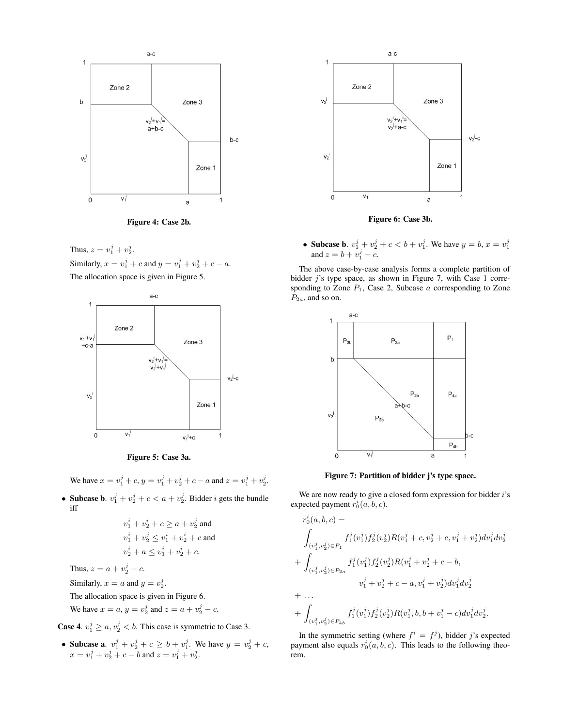



Thus,  $z = v_1^j + v_2^j$ . Similarly,  $x = v_1^j + c$  and  $y = v_1^j + v_2^j + c - a$ . The allocation space is given in Figure 5.





We have  $x = v_1^j + c$ ,  $y = v_1^j + v_2^j + c - a$  and  $z = v_1^j + v_2^j$ .

• Subcase b.  $v_1^j + v_2^j + c < a + v_2^j$ . Bidder *i* gets the bundle iff

$$
v_1^i + v_2^i + c \ge a + v_2^j \text{ and}
$$
  
\n
$$
v_1^i + v_2^j \le v_1^i + v_2^i + c \text{ and}
$$
  
\n
$$
v_2^i + a \le v_1^i + v_2^i + c.
$$

Thus,  $z = a + v_2^j - c$ .

Similarly,  $x = a$  and  $y = v_2^j$ .

The allocation space is given in Figure 6.

We have 
$$
x = a
$$
,  $y = v_2^j$  and  $z = a + v_2^j - c$ .

**Case 4.**  $v_1^j \ge a, v_2^j < b$ . This case is symmetric to Case 3.

• Subcase a.  $v_1^j + v_2^j + c \ge b + v_1^j$ . We have  $y = v_2^j + c$ ,  $x = v_1^j + v_2^j + c - b$  and  $z = v_1^j + v_2^j$ .



Figure 6: Case 3b.

• Subcase b.  $v_1^j + v_2^j + c < b + v_1^j$ . We have  $y = b$ ,  $x = v_1^j$  and  $z = b + v_1^j - c$ .

The above case-by-case analysis forms a complete partition of bidder  $j$ 's type space, as shown in Figure 7, with Case 1 corresponding to Zone  $P_1$ , Case 2, Subcase  $a$  corresponding to Zone  $P_{2a}$ , and so on.



Figure 7: Partition of bidder j's type space.

We are now ready to give a closed form expression for bidder  $i$ 's expected payment  $r_0^i(a, b, c)$ .

$$
r_0^i(a, b, c) =
$$
\n
$$
\int_{(v_1^j, v_2^j) \in P_1} f_1^j(v_1^j) f_2^j(v_2^j) R(v_1^j + c, v_2^j + c, v_1^j + v_2^j) dv_1^j dv_2^j
$$
\n
$$
+ \int_{(v_1^j, v_2^j) \in P_{2a}} f_1^j(v_1^j) f_2^j(v_2^j) R(v_1^j + v_2^j + c - b,
$$
\n
$$
v_1^j + v_2^j + c - a, v_1^j + v_2^j) dv_1^j dv_2^j
$$
\n
$$
+ ...
$$
\n
$$
+ \int_{(v_1^j, v_2^j) \in P_{4b}} f_1^j(v_1^j) f_2^j(v_2^j) R(v_1^j, b, b + v_1^j - c) dv_1^j dv_2^j.
$$

In the symmetric setting (where  $f^i = f^j$ ), bidder j's expected payment also equals  $r_0^i(a, b, c)$ . This leads to the following theorem.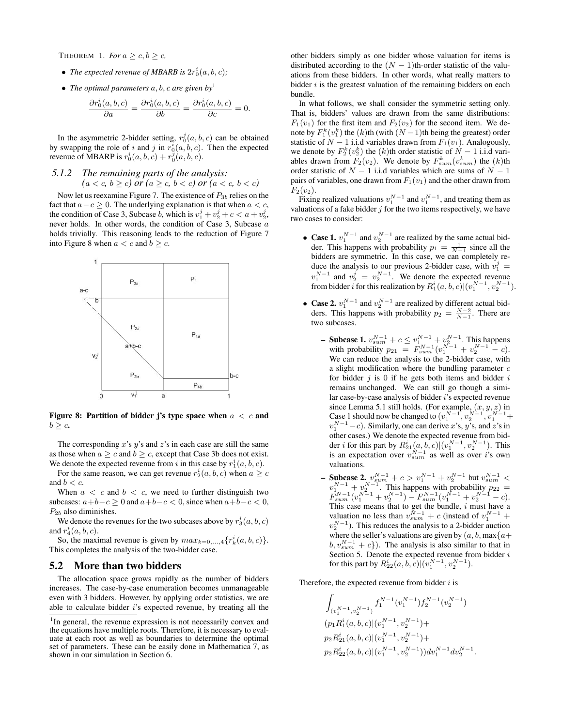THEOREM 1. *For*  $a \geq c, b \geq c$ ,

- The expected revenue of MBARB is  $2r_0^i(a, b, c)$ ;
- *The optimal parameters* a, b, c *are given by*<sup>1</sup>

$$
\frac{\partial r_0^i(a,b,c)}{\partial a} = \frac{\partial r_0^i(a,b,c)}{\partial b} = \frac{\partial r_0^i(a,b,c)}{\partial c} = 0.
$$

In the asymmetric 2-bidder setting,  $r_0^j(a, b, c)$  can be obtained by swapping the role of i and j in  $r_0^i(a, b, c)$ . Then the expected revenue of MBARP is  $r_0^i(a, b, c) + r_0^j(a, b, c)$ .

#### *5.1.2 The remaining parts of the analysis:*  $(a < c, b \ge c)$  or  $(a \ge c, b < c)$  or  $(a < c, b < c)$

Now let us reexamine Figure 7. The existence of  $P_{3b}$  relies on the fact that  $a-c \geq 0$ . The underlying explanation is that when  $a < c$ , the condition of Case 3, Subcase *b*, which is  $v_1^j + v_2^j + c < a + v_2^j$ , never holds. In other words, the condition of Case 3, Subcase a holds trivially. This reasoning leads to the reduction of Figure 7 into Figure 8 when  $a < c$  and  $b > c$ .



Figure 8: Partition of bidder j's type space when  $a < c$  and  $b \geq c$ .

The corresponding  $x$ 's  $y$ 's and  $z$ 's in each case are still the same as those when  $a \geq c$  and  $b \geq c$ , except that Case 3b does not exist. We denote the expected revenue from i in this case by  $r_1^i(a, b, c)$ .

For the same reason, we can get revenue  $r_2^i(a, b, c)$  when  $a \geq c$ and  $b < c$ .

When  $a < c$  and  $b < c$ , we need to further distinguish two subcases:  $a+b-c \ge 0$  and  $a+b-c < 0$ , since when  $a+b-c < 0$ ,  $P_{2b}$  also diminishes.

We denote the revenues for the two subcases above by  $r_3^i(a, b, c)$ and  $r_4^i(a, b, c)$ .

So, the maximal revenue is given by  $max_{k=0,\dots,4} \{r_k^i(a,b,c)\}.$ This completes the analysis of the two-bidder case.

#### 5.2 More than two bidders

The allocation space grows rapidly as the number of bidders increases. The case-by-case enumeration becomes unmanageable even with 3 bidders. However, by applying order statistics, we are able to calculate bidder  $i$ 's expected revenue, by treating all the other bidders simply as one bidder whose valuation for items is distributed according to the  $(N - 1)$ th-order statistic of the valuations from these bidders. In other words, what really matters to bidder  $i$  is the greatest valuation of the remaining bidders on each bundle.

In what follows, we shall consider the symmetric setting only. That is, bidders' values are drawn from the same distributions:  $F_1(v_1)$  for the first item and  $F_2(v_2)$  for the second item. We denote by  $F_1^k(v_1^k)$  the  $(k)$ th (with  $(N-1)$ th being the greatest) order statistic of  $N - 1$  i.i.d variables drawn from  $F_1(v_1)$ . Analogously, we denote by  $F_2^k(v_2^k)$  the (k)th order statistic of  $N-1$  i.i.d variables drawn from  $F_2(v_2)$ . We denote by  $F_{sum}^k(v_{sum}^k)$  the  $(k)$ th order statistic of  $N - 1$  i.i.d variables which are sums of  $N - 1$ pairs of variables, one drawn from  $F_1(v_1)$  and the other drawn from  $F_2(v_2)$ .

Fixing realized valuations  $v_1^{N-1}$  and  $v_1^{N-1}$ , and treating them as valuations of a fake bidder  $j$  for the two items respectively, we have two cases to consider:

- Case 1.  $v_1^{N-1}$  and  $v_2^{N-1}$  are realized by the same actual bidder. This happens with probability  $p_1 = \frac{1}{N-1}$  since all the bidders are symmetric. In this case, we can completely reduce the analysis to our previous 2-bidder case, with  $v_1^j =$  $v_1^{N-1}$  and  $v_2^j = v_2^{N-1}$ . We denote the expected revenue from bidder *i* for this realization by  $R_1^i(a, b, c) | (v_1^{N-1}, v_2^{N-1}).$
- Case 2.  $v_1^{N-1}$  and  $v_2^{N-1}$  are realized by different actual bidders. This happens with probability  $p_2 = \frac{N-2}{N-1}$ . There are two subcases.
	- **Subcase 1.**  $v_{sum}^{N-1} + c \le v_{1}^{N-1} + v_{2}^{N-1}$ . This happens with probability  $p_{21} = \overline{F}_{sum}^{N-1} (v_1^{N-1} + v_2^{N-1} - c)$ . We can reduce the analysis to the 2-bidder case, with a slight modification where the bundling parameter  $c$ for bidder  $j$  is 0 if he gets both items and bidder  $i$ remains unchanged. We can still go though a similar case-by-case analysis of bidder i's expected revenue since Lemma 5.1 still holds. (For example,  $(x, y, z)$  in Case 1 should now be changed to  $(v_1^{N-1}, v_2^{N-1}, v_1^{N-1}+$  $v_1^{N-1}$  – c). Similarly, one can derive x's, y's, and z's in other cases.) We denote the expected revenue from bidder *i* for this part by  $R_{21}^{i}(a, b, c) | (v_1^{N-1}, v_2^{N-1})$ . This is an expectation over  $v_{sum}^{N-1}$  as well as over i's own valuations.
	- **− Subcase 2.**  $v_{sum}^{N-1} + c > v_1^{N-1} + v_2^{N-1}$  but  $v_{sum}^{N-1}$  <  $v_1^{N-1} + v_2^{N-1}$ . This happens with probability  $p_{22} =$  $F_{sum}^{N-1}(v_1^{N-1}+v_2^{N-1})-F_{sum}^{N-1}(v_1^{N-1}+v_2^{N-1}-c).$ This case means that to get the bundle,  $i$  must have a valuation no less than  $v_{sum}^{\bar{N}-1}$  + c (instead of  $v_1^{N-1}$  +  $v_2^{N-1}$ ). This reduces the analysis to a 2-bidder auction where the seller's valuations are given by  $(a, b, \max\{a+\})$  $b, v_{sum}^{N-1} + c$ }). The analysis is also similar to that in Section 5. Denote the expected revenue from bidder  $i$ for this part by  $R_{22}^i(a, b, c) | (v_1^{N-1}, v_2^{N-1}).$

Therefore, the expected revenue from bidder  $i$  is

$$
\begin{aligned} &\int_{(v_1^{N-1},v_2^{N-1})}f_1^{N-1}(v_1^{N-1})f_2^{N-1}(v_2^{N-1})\\ & (p_1R_1^i(a,b,c)|(v_1^{N-1},v_2^{N-1})+\\ & p_2R_{21}^i(a,b,c)|(v_1^{N-1},v_2^{N-1})+\\ & p_2R_{22}^i(a,b,c)|(v_1^{N-1},v_2^{N-1}))dv_1^{N-1}dv_2^{N-1}.\end{aligned}
$$

<sup>&</sup>lt;sup>1</sup>In general, the revenue expression is not necessarily convex and the equations have multiple roots. Therefore, it is necessary to evaluate at each root as well as boundaries to determine the optimal set of parameters. These can be easily done in Mathematica 7, as shown in our simulation in Section 6.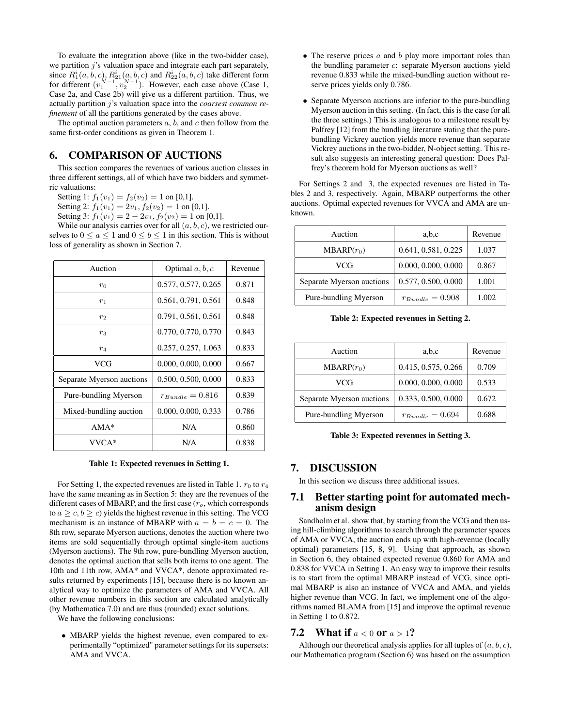To evaluate the integration above (like in the two-bidder case), we partition  $j$ 's valuation space and integrate each part separately, since  $R_1^i(a, b, c)$ ,  $R_{21}^i(a, b, c)$  and  $R_{22}^i(a, b, c)$  take different form for different  $(v_1^{N-1}, v_2^{N-1})$ . However, each case above (Case 1, Case 2a, and Case 2b) will give us a different partition. Thus, we actually partition j's valuation space into the *coarsest common refinement* of all the partitions generated by the cases above.

The optimal auction parameters  $a, b$ , and  $c$  then follow from the same first-order conditions as given in Theorem 1.

## 6. COMPARISON OF AUCTIONS

This section compares the revenues of various auction classes in three different settings, all of which have two bidders and symmetric valuations:

Setting 1:  $f_1(v_1) = f_2(v_2) = 1$  on [0,1].

Setting 2:  $f_1(v_1) = 2v_1, f_2(v_2) = 1$  on [0,1].

Setting 3:  $f_1(v_1) = 2 - 2v_1$ ,  $f_2(v_2) = 1$  on [0,1].

While our analysis carries over for all  $(a, b, c)$ , we restricted ourselves to  $0 \le a \le 1$  and  $0 \le b \le 1$  in this section. This is without loss of generality as shown in Section 7.

| Auction                   | Optimal $a, b, c$   | Revenue |
|---------------------------|---------------------|---------|
| $r_0$                     | 0.577, 0.577, 0.265 | 0.871   |
| $r_1$                     | 0.561, 0.791, 0.561 | 0.848   |
| $r_2$                     | 0.791, 0.561, 0.561 | 0.848   |
| $r_3$                     | 0.770, 0.770, 0.770 | 0.843   |
| $r_4$                     | 0.257, 0.257, 1.063 | 0.833   |
| VCG                       | 0.000, 0.000, 0.000 | 0.667   |
| Separate Myerson auctions | 0.500, 0.500, 0.000 | 0.833   |
| Pure-bundling Myerson     | $r_{Bundle}=0.816$  | 0.839   |
| Mixed-bundling auction    | 0.000, 0.000, 0.333 | 0.786   |
| $AMA*$                    | N/A                 | 0.860   |
| VVCA*                     | N/A                 | 0.838   |

Table 1: Expected revenues in Setting 1.

For Setting 1, the expected revenues are listed in Table 1.  $r_0$  to  $r_4$ have the same meaning as in Section 5: they are the revenues of the different cases of MBARP, and the first case  $(r<sub>o</sub>,$  which corresponds to  $a > c, b > c$ ) yields the highest revenue in this setting. The VCG mechanism is an instance of MBARP with  $a = b = c = 0$ . The 8th row, separate Myerson auctions, denotes the auction where two items are sold sequentially through optimal single-item auctions (Myerson auctions). The 9th row, pure-bundling Myerson auction, denotes the optimal auction that sells both items to one agent. The 10th and 11th row, AMA\* and VVCA\*, denote approximated results returned by experiments [15], because there is no known analytical way to optimize the parameters of AMA and VVCA. All other revenue numbers in this section are calculated analytically (by Mathematica 7.0) and are thus (rounded) exact solutions.

We have the following conclusions:

• MBARP yields the highest revenue, even compared to experimentally "optimized" parameter settings for its supersets: AMA and VVCA.

- The reserve prices  $a$  and  $b$  play more important roles than the bundling parameter c: separate Myerson auctions yield revenue 0.833 while the mixed-bundling auction without reserve prices yields only 0.786.
- Separate Myerson auctions are inferior to the pure-bundling Myerson auction in this setting. (In fact, this is the case for all the three settings.) This is analogous to a milestone result by Palfrey [12] from the bundling literature stating that the purebundling Vickrey auction yields more revenue than separate Vickrey auctions in the two-bidder, N-object setting. This result also suggests an interesting general question: Does Palfrey's theorem hold for Myerson auctions as well?

For Settings 2 and 3, the expected revenues are listed in Tables 2 and 3, respectively. Again, MBARP outperforms the other auctions. Optimal expected revenues for VVCA and AMA are unknown.

| Auction                   | a,b,c               | Revenue |
|---------------------------|---------------------|---------|
| $MBARP(r_0)$              | 0.641, 0.581, 0.225 | 1.037   |
| VCG                       | 0.000, 0.000, 0.000 | 0.867   |
| Separate Myerson auctions | 0.577, 0.500, 0.000 | 1.001   |
| Pure-bundling Myerson     | $r_{Bundle}=0.908$  | 1.002   |

Table 2: Expected revenues in Setting 2.

| Auction                   | a,b,c               | Revenue |
|---------------------------|---------------------|---------|
| $MBARP(r_0)$              | 0.415, 0.575, 0.266 | 0.709   |
| VCG                       | 0.000, 0.000, 0.000 | 0.533   |
| Separate Myerson auctions | 0.333, 0.500, 0.000 | 0.672   |
| Pure-bundling Myerson     | $r_{Bundle}=0.694$  | 0.688   |

Table 3: Expected revenues in Setting 3.

## 7. DISCUSSION

In this section we discuss three additional issues.

## 7.1 Better starting point for automated mechanism design

Sandholm et al. show that, by starting from the VCG and then using hill-climbing algorithms to search through the parameter spaces of AMA or VVCA, the auction ends up with high-revenue (locally optimal) parameters [15, 8, 9]. Using that approach, as shown in Section 6, they obtained expected revenue 0.860 for AMA and 0.838 for VVCA in Setting 1. An easy way to improve their results is to start from the optimal MBARP instead of VCG, since optimal MBARP is also an instance of VVCA and AMA, and yields higher revenue than VCG. In fact, we implement one of the algorithms named BLAMA from [15] and improve the optimal revenue in Setting 1 to 0.872.

#### 7.2 What if  $a < 0$  or  $a > 1$ ?

Although our theoretical analysis applies for all tuples of  $(a, b, c)$ , our Mathematica program (Section 6) was based on the assumption